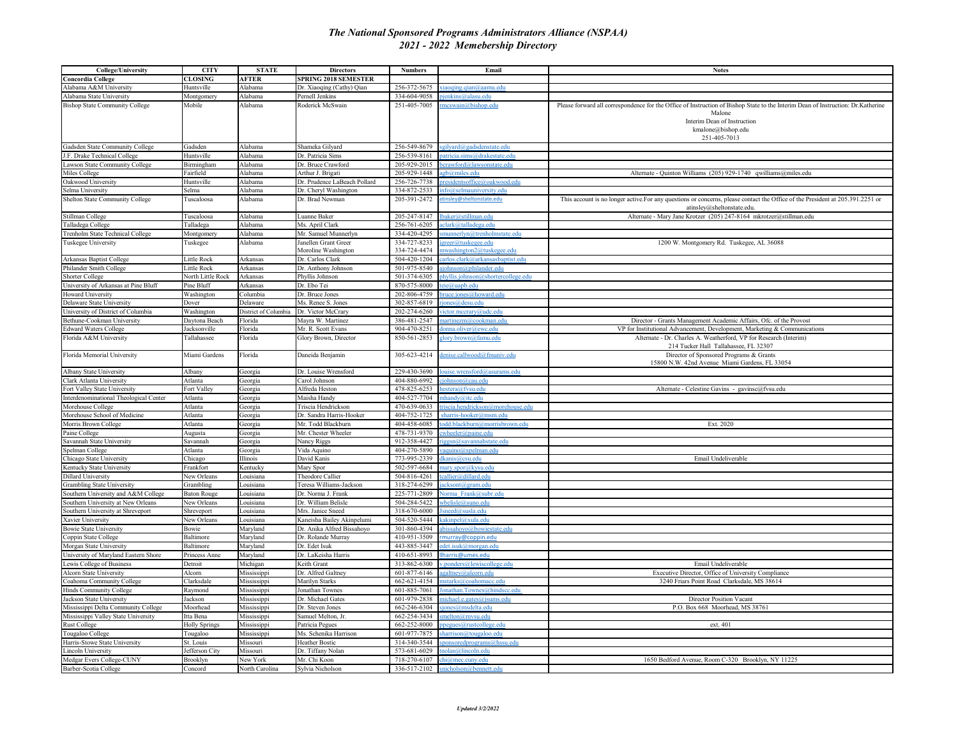## *The National Sponsored Programs Administrators Alliance (NSPAA) 2021 - 2022 Memebership Directory*

| <b>College/University</b>              | <b>CITY</b>              | <b>STATE</b>               | <b>Directors</b>             | <b>Numbers</b> | Email                                                              | <b>Notes</b>                                                                                                                     |
|----------------------------------------|--------------------------|----------------------------|------------------------------|----------------|--------------------------------------------------------------------|----------------------------------------------------------------------------------------------------------------------------------|
| Concordia College                      | CLOSING                  | <b>AFTER</b>               | <b>SPRING 2018 SEMESTER</b>  |                |                                                                    |                                                                                                                                  |
| Alabama A&M University                 | Huntsville               | Alabama                    | Dr. Xiaoqing (Cathy) Qian    | 256-372-5675   | $\alpha$ iao $\alpha$ ino $\alpha$ ian $\widehat{\alpha}$ aamu edu |                                                                                                                                  |
| Alabama State University               | Montgomery               | Alabama                    | Pernell Jenkins              | 334-604-9058   | ienkins@alasu.edu                                                  |                                                                                                                                  |
| <b>Bishop State Community College</b>  | Mobile                   | Alabama                    | Roderick McSwain             | 251-405-7005   | mcswain@bishop.edu                                                 | Please forward all correspondence for the Office of Instruction of Bishop State to the Interim Dean of Instruction: Dr.Katherine |
|                                        |                          |                            |                              |                |                                                                    | Malone                                                                                                                           |
|                                        |                          |                            |                              |                |                                                                    | Interim Dean of Instruction                                                                                                      |
|                                        |                          |                            |                              |                |                                                                    | kmalone@bishop.edu                                                                                                               |
|                                        |                          |                            |                              |                |                                                                    | 251-405-7013                                                                                                                     |
| Gadsden State Community College        | Gadsden                  | Alabama                    | Shameka Gilyard              | 256-549-8679   | sgilyard@gadsdenstate.edu                                          |                                                                                                                                  |
| J.F. Drake Technical College           | <b>Tuntsville</b>        | Alabama                    | Dr. Patricia Sims            | 256-539-8161   | atricia.sims@drakestate.edu                                        |                                                                                                                                  |
| Lawson State Community College         | Birmingham               | Alabama                    | Dr. Bruce Crawford           | 205-929-2015   | erawford@lawsonstate.edi                                           |                                                                                                                                  |
|                                        |                          |                            |                              | 205-929-1448   | ob@miles.edu                                                       |                                                                                                                                  |
| Miles College                          | airfield                 | Alabama                    | Arthur J. Brigati            |                |                                                                    | Alternate - Quinton Williams (205) 929-1740 qwilliams@miles.edu                                                                  |
| Oakwood University                     | <b>Iuntsville</b>        | Alabama                    | Dr. Prudence LaBeach Pollard | 256-726-7738   | esidentsoffice@oakwood.edu                                         |                                                                                                                                  |
| Selma University                       | elma                     | Alabama                    | Dr. Cheryl Washington        | 334-872-2533   | fo@selmauniversity.edu                                             |                                                                                                                                  |
| Shelton State Community College        | <b>Tuscaloosa</b>        | Alabama                    | Dr. Brad Newman              | 205-391-2472   | tinsley@sheltonstate.edu                                           | This account is no longer active.For any questions or concerns, please contact the Office of the President at 205.391.2251 or    |
|                                        |                          |                            |                              |                |                                                                    | atinsley@sheltonstate.edu                                                                                                        |
| Stillman College                       | Tuscaloosa               | Alabama                    | Luanne Baker                 | 205-247-8147   | baker@stillman.edu                                                 | Alternate - Mary Jane Krotzer (205) 247-8164 mkrotzer@stillman.edu                                                               |
| Talladega College                      | Talladega                | Alabama                    | Ms. April Clark              | 256-761-6205   | clark@talladega.edu                                                |                                                                                                                                  |
| Trenholm State Technical College       | Montgomery               | Alabama                    | Mr. Samuel Munnerlyn         | 334-420-4295   | state edu                                                          |                                                                                                                                  |
| Tuskegee University                    | <b>Tuskegee</b>          | Alabama                    | Janellen Grant Greer         | 334-727-8233   | greer@tuskegee.edu                                                 | 1200 W. Montgomery Rd. Tuskegee, AL 36088                                                                                        |
|                                        |                          |                            | Moroline Washington          | 334-724-4474   | washington2@tuskegee.edu                                           |                                                                                                                                  |
| Arkansas Baptist College               | ittle Rock               | Arkansas                   | Dr. Carlos Clark             | 504-420-1204   | arlos.clark@arkansasbaptist.edu                                    |                                                                                                                                  |
| Philander Smith College                | ittle Rock               | Arkansas                   | Dr. Anthony Johnson          | 501-975-8540   | johnson@philander.edu                                              |                                                                                                                                  |
| <b>Shorter College</b>                 | <b>North Little Rock</b> | Arkansas                   | Phyllis Johnson              | 501-374-6305   | hyllis.johnson@shortercollege.edu                                  |                                                                                                                                  |
| University of Arkansas at Pine Bluff   | ine Bluff                | Arkansas                   | Dr. Ebo Tei                  | 870-575-8000   | eie@uapb.edu                                                       |                                                                                                                                  |
| <b>Howard University</b>               | Washington               | Columbia                   | Dr. Bruce Jones              | 202-806-4759   | uce.jones@howard.edu                                               |                                                                                                                                  |
| Delaware State University              | Dover                    | Delaware                   | Ms. Renee S. Jones           | 302-857-6819   | ones@desu.edu                                                      |                                                                                                                                  |
| University of District of Columbia     | Washington               | District of Columbia       | Dr. Victor McCrary           | 202-274-6260   | ctor.mccrary@udc.edu                                               |                                                                                                                                  |
| Bethune-Cookman University             | Daytona Beach            | <b>lorida</b>              | Mayra W. Martinez            | 386-481-2547   | artinezm@cookman.edu                                               | Director - Grants Management Academic Affairs, Ofc. of the Provost                                                               |
| <b>Edward Waters College</b>           | acksonville              | Florida                    | Mr. R. Scott Evans           | 904-470-8251   | onna.oliver@ewc.edu                                                | VP for Institutional Advancement, Development, Marketing & Communications                                                        |
| Florida A&M University                 | Tallahassee              | Florida                    | Glory Brown, Director        | 850-561-2853   | lory.brown@famu.edu                                                | Alternate - Dr. Charles A. Weatherford, VP for Research (Interim)                                                                |
|                                        |                          |                            |                              |                |                                                                    | 214 Tucker Hall Tallahassee, FL 32307                                                                                            |
| Florida Memorial University            | Miami Gardens            | Florida                    | Daneida Benjamin             | 305-623-4214   | enise.callwood@fmuniv.edu                                          | Director of Sponsored Programs & Grants                                                                                          |
|                                        |                          |                            |                              |                |                                                                    | 15800 N.W. 42nd Avenue Miami Gardens, FL 33054                                                                                   |
| <b>Albany State University</b>         | Albany                   | Georgia                    | Dr. Louise Wrensford         | 229-430-3690   | ouise.wrensford@asurams.edu                                        |                                                                                                                                  |
| Clark Atlanta University               | Atlanta                  | Georgia                    | Carol Johnson                | 404-880-6992   | iohnson@cau.edu                                                    |                                                                                                                                  |
| Fort Valley State University           | <b>Fort Valley</b>       | Georgia                    | Alfreda Heston               | 478-825-6253   | estera@fvsu.edu                                                    | Alternate - Celestine Gavins - gavinsc@fvsu.edu                                                                                  |
| Interdenominational Theological Center | Atlanta                  | Georgia                    | Maisha Handy                 | 404-527-7704   | handy@itc.edu                                                      |                                                                                                                                  |
| Morehouse College                      | Atlanta                  | Georgia                    | Triscia Hendrickson          | 470-639-0633   | iscia.hendrickson@morehouse.edu                                    |                                                                                                                                  |
| Morehouse School of Medicine           | Atlanta                  | Georgia                    | Dr. Sandra Harris-Hooker     | 404-752-1725   | sharris-hooker@msm.edu                                             |                                                                                                                                  |
| Morris Brown College                   | Atlanta                  | Georgia                    | Mr. Todd Blackburn           | 404-458-6085   | odd.blackburn@morrisbrown.edu                                      | Ext. 2020                                                                                                                        |
| Paine College                          | Augusta                  | Georgia                    | Mr. Chester Wheeler          | 478-731-9370   |                                                                    |                                                                                                                                  |
| Savannah State University              | Savannah                 | Georgia                    | <b>Nancy Riggs</b>           | 912-358-4427   | ggsn@savannahstate.edu                                             |                                                                                                                                  |
| Spelman College                        | Atlanta                  |                            | Vida Aquino                  | 404-270-5890   | auino@spelman.edu                                                  |                                                                                                                                  |
| Chicago State University               | hicago                   | Georgia<br><b>Illinois</b> | David Kanis                  | 773-995-2339   |                                                                    | Email Undeliverable                                                                                                              |
|                                        |                          |                            |                              |                | <u>kanis@csu.edu</u>                                               |                                                                                                                                  |
| Kentucky State University              | Frankfort                | Kentucky                   | Mary Spor                    | 502-597-6684   | ary.spor@kysu.edu                                                  |                                                                                                                                  |
| <b>Dillard University</b>              | New Orleans              | ouisiana                   | Theodore Callier             | 504-816-4261   | callier@dillard.edu                                                |                                                                                                                                  |
| Grambling State University             | Grambling                | Louisiana                  | Teresa Williams-Jackson      | 318-274-6299   | icksont@gram.edu                                                   |                                                                                                                                  |
| Southern University and A&M College    | <b>Baton Rouge</b>       | Louisiana                  | Dr. Norma J. Frank           | 225-771-2809   | orma Frank@subr.edu                                                |                                                                                                                                  |
| outhern University at New Orleans      | New Orleans              | ouisiana                   | Dr. William Belisle          | 504-284-5422   | belisle@suno.edu                                                   |                                                                                                                                  |
| outhern University at Shreveport       | Shreveport               | ouisiana                   | Mrs. Janice Sneed            | 318-670-6000   |                                                                    |                                                                                                                                  |
| Xavier University                      | <b>Jew Orleans</b>       | ouisiana                   | Kaneisha Bailey Akinpelumi   | 504-520-5444   | akinnel@xula.edu                                                   |                                                                                                                                  |
| <b>Bowie State University</b>          | <b>Sowie</b>             | Maryland                   | Dr. Anika Alfred Bissahoyo   | 301-860-4394   | bissahoyo@bowiestate.edu                                           |                                                                                                                                  |
| Coppin State College                   | Baltimore                | Maryland                   | Dr. Rolande Murray           | 410-951-3509   | nurray@coppin.edu                                                  |                                                                                                                                  |
| Morgan State University                | Baltimore                | Maryland                   | Dr. Edet Isuk                | 443-885-3447   | det.isuk@morgan.edu                                                |                                                                                                                                  |
| Jniversity of Maryland Eastern Shore   | Princess Anne            | Maryland                   | Dr. LaKeisha Harris          | 410-651-8993   | harris@umes.edu                                                    |                                                                                                                                  |
| Lewis College of Business              | Detroit                  | Michigan                   | Keith Grant                  | 313-862-6300   | nonders@lewiscollege.edu                                           | Email Undeliverable                                                                                                              |
| Alcorn State University                | Alcorn                   | Mississippi                | Dr. Alfred Galtney           | 601-877-6146   | galtney@alcorn.edu                                                 | Executive Director, Office of University Compliance                                                                              |
| Coahoma Community College              | Clarksdale               | Mississippi                | Marilyn Starks               | 662-621-4154   | starks@coahomacc.edu                                               | 3240 Friars Point Road Clarksdale, MS 38614                                                                                      |
| Hinds Community College                | Raymond                  | Mississippi                | Jonathan Townes              | 601-885-7061   | onathan.Townes@hindscc.edu                                         |                                                                                                                                  |
| Jackson State University               | Jackson                  | Mississippi                | Dr. Michael Gates            | 601-979-2838   | nichael.e.gates@jsums.edu                                          | Director Position Vacant                                                                                                         |
| Mississippi Delta Community College    | Moorhead                 | Mississippi                | Dr. Steven Jones             | 662-246-6304   | iones@msdelta.edu                                                  | P.O. Box 668 Moorhead, MS 38761                                                                                                  |
| Mississippi Valley State University    | Itta Bena                | Mississippi                | Samuel Melton, Jr.           | 662-254-3434   | melton@mysu.edu                                                    |                                                                                                                                  |
| <b>Rust College</b>                    | <b>Holly Springs</b>     | Mississippi                | Patricia Pegues              | 662-252-8000   |                                                                    | ext. 401                                                                                                                         |
| Tougaloo College                       | Tougaloo                 | Mississippi                | Ms. Schenika Harrison        | 601-977-7875   | harrison@tougaloo.edu                                              |                                                                                                                                  |
| Harris-Stowe State University          | št. Louis                | Missouri                   | <b>Teather Bostic</b>        | 314-340-3544   | oonsoredprograms@hssu.edu                                          |                                                                                                                                  |
| <b>Lincoln University</b>              | Jefferson City           | Missouri                   | Dr. Tiffany Nolan            | 573-681-6029   | nolan@lincoln.edu                                                  |                                                                                                                                  |
| Medgar Evers College-CUNY              | Brooklyn                 | New York                   | Mr. Chi Koon                 | 718-270-6107   | chi@mec.cuny.edu                                                   | 1650 Bedford Avenue, Room C-320 Brooklyn, NY 11225                                                                               |
| Barber-Scotia College                  | Concord                  | North Carolina             | Sylvia Nicholson             | 336-517-2102   | nicholson@bennett.ed                                               |                                                                                                                                  |
|                                        |                          |                            |                              |                |                                                                    |                                                                                                                                  |